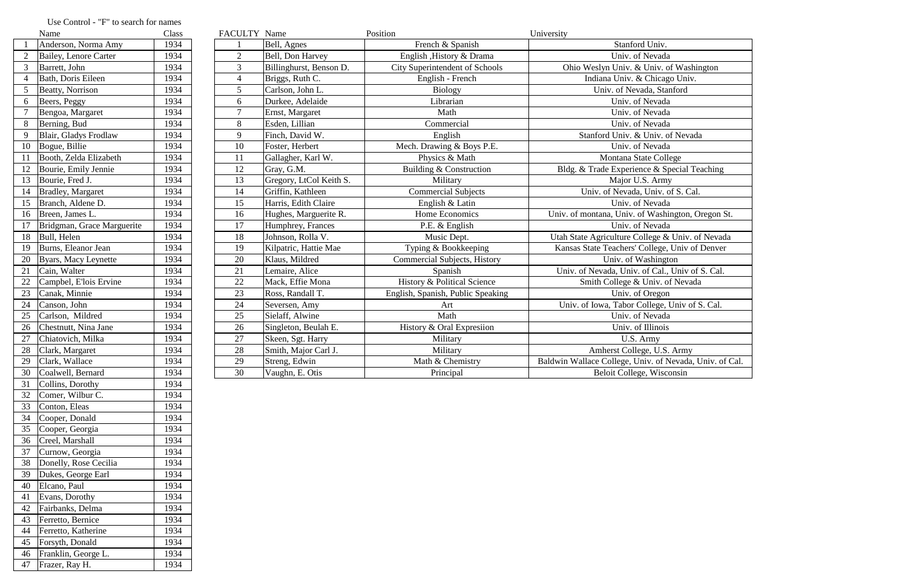|    | Name                       | Class | FACULTY Name   |                         | Position                               | University                                              |
|----|----------------------------|-------|----------------|-------------------------|----------------------------------------|---------------------------------------------------------|
|    | Anderson, Norma Amy        | 1934  |                | Bell, Agnes             | French & Spanish                       | Stanford Univ.                                          |
|    | Bailey, Lenore Carter      | 1934  | $\overline{2}$ | Bell, Don Harvey        | English , History & Drama              | Univ. of Nevada                                         |
|    | Barrett, John              | 1934  | $\overline{3}$ | Billinghurst, Benson D. | City Superintendent of Schools         | Ohio Weslyn Univ. & Univ. of Washington                 |
|    | Bath, Doris Eileen         | 1934  | $\overline{4}$ | Briggs, Ruth C.         | English - French                       | Indiana Univ. & Chicago Univ.                           |
|    | <b>Beatty, Norrison</b>    | 1934  | $\mathfrak{S}$ | Carlson, John L.        | <b>Biology</b>                         | Univ. of Nevada, Stanford                               |
| 6  | Beers, Peggy               | 1934  | 6              | Durkee, Adelaide        | Librarian                              | Univ. of Nevada                                         |
|    | Bengoa, Margaret           | 1934  | $\overline{7}$ | Ernst, Margaret         | Math                                   | Univ. of Nevada                                         |
| 8  | Berning, Bud               | 1934  | 8              | Esden, Lillian          | Commercial                             | Univ. of Nevada                                         |
| 9  | Blair, Gladys Frodlaw      | 1934  | 9              | Finch, David W.         | English                                | Stanford Univ. & Univ. of Nevada                        |
| 10 | Bogue, Billie              | 1934  | 10             | Foster, Herbert         | Mech. Drawing & Boys P.E.              | Univ. of Nevada                                         |
| 11 | Booth, Zelda Elizabeth     | 1934  | 11             | Gallagher, Karl W.      | Physics & Math                         | Montana State College                                   |
|    | Bourie, Emily Jennie       | 1934  | 12             | Gray, G.M.              | Building & Construction                | Bldg. & Trade Experience & Special Teaching             |
| 13 | Bourie, Fred J.            | 1934  | 13             | Gregory, LtCol Keith S. | Military                               | Major U.S. Army                                         |
| 14 | Bradley, Margaret          | 1934  | 14             | Griffin, Kathleen       | <b>Commercial Subjects</b>             | Univ. of Nevada, Univ. of S. Cal.                       |
| 15 | Branch, Aldene D.          | 1934  | 15             | Harris, Edith Claire    | English & Latin                        | Univ. of Nevada                                         |
| 16 | Breen, James L.            | 1934  | 16             | Hughes, Marguerite R.   | Home Economics                         | Univ. of montana, Univ. of Washington, Oregon St.       |
|    | Bridgman, Grace Marguerite | 1934  | 17             | Humphrey, Frances       | P.E. & English                         | Univ. of Nevada                                         |
| 18 | Bull, Helen                | 1934  | 18             | Johnson, Rolla V.       | Music Dept.                            | Utah State Agriculture College & Univ. of Nevada        |
| 19 | Burns, Eleanor Jean        | 1934  | 19             | Kilpatric, Hattie Mae   | Typing & Bookkeeping                   | Kansas State Teachers' College, Univ of Denver          |
| 20 | Byars, Macy Leynette       | 1934  | 20             | Klaus, Mildred          | <b>Commercial Subjects, History</b>    | Univ. of Washington                                     |
| 21 | Cain, Walter               | 1934  | 21             | Lemaire, Alice          | Spanish                                | Univ. of Nevada, Univ. of Cal., Univ of S. Cal.         |
| 22 | Campbel, E'lois Ervine     | 1934  | 22             | Mack, Effie Mona        | <b>History &amp; Political Science</b> | Smith College & Univ. of Nevada                         |
| 23 | Canak, Minnie              | 1934  | 23             | Ross, Randall T.        | English, Spanish, Public Speaking      | Univ. of Oregon                                         |
| 24 | Canson, John               | 1934  | 24             | Seversen, Amy           | Art                                    | Univ. of Iowa, Tabor College, Univ of S. Cal.           |
| 25 | Carlson, Mildred           | 1934  | 25             | Sielaff, Alwine         | Math                                   | Univ. of Nevada                                         |
| 26 | Chestnutt, Nina Jane       | 1934  | 26             | Singleton, Beulah E.    | History & Oral Expresiion              | Univ. of Illinois                                       |
| 27 | Chiatovich, Milka          | 1934  | 27             | Skeen, Sgt. Harry       | Military                               | U.S. Army                                               |
| 28 | Clark, Margaret            | 1934  | 28             | Smith, Major Carl J.    | Military                               | Amherst College, U.S. Army                              |
| 29 | Clark, Wallace             | 1934  | 29             | Streng, Edwin           | Math & Chemistry                       | Baldwin Wallace College, Univ. of Nevada, Univ. of Cal. |
|    | 30 Coalwell, Bernard       | 1934  | 30             | Vaughn, E. Otis         | Principal                              | Beloit College, Wisconsin                               |

## Use Control - "F" to search for names<br>Name

|                | inalile                     | UIASS |
|----------------|-----------------------------|-------|
| $\mathbf{1}$   | Anderson, Norma Amy         | 1934  |
| 2              | Bailey, Lenore Carter       | 1934  |
| 3              | Barrett, John               | 1934  |
| $\overline{4}$ | Bath, Doris Eileen          | 1934  |
| 5              | Beatty, Norrison            | 1934  |
| 6              | Beers, Peggy                | 1934  |
| $\overline{7}$ | Bengoa, Margaret            | 1934  |
| 8              | Berning, Bud                | 1934  |
| 9              | Blair, Gladys Frodlaw       | 1934  |
| 10             | Bogue, Billie               | 1934  |
| 11             | Booth, Zelda Elizabeth      | 1934  |
| 12             | Bourie, Emily Jennie        | 1934  |
| 13             | Bourie, Fred J.             | 1934  |
| 14             | <b>Bradley</b> , Margaret   | 1934  |
| 15             | Branch, Aldene D.           | 1934  |
| 16             | Breen, James L.             | 1934  |
| 17             | Bridgman, Grace Marguerite  | 1934  |
| 18             | Bull, Helen                 | 1934  |
| 19             | Burns, Eleanor Jean         | 1934  |
| 20             | <b>Byars, Macy Leynette</b> | 1934  |
| 21             | Cain, Walter                | 1934  |
| 22             | Campbel, E'lois Ervine      | 1934  |
| 23             | Canak, Minnie               | 1934  |
| 24             | Canson, John                | 1934  |
| 25             | Carlson, Mildred            | 1934  |
| 26             | Chestnutt, Nina Jane        | 1934  |
| 27             | Chiatovich, Milka           | 1934  |
| 28             | Clark, Margaret             | 1934  |
| 29             | Clark, Wallace              | 1934  |
| 30             | Coalwell, Bernard           | 1934  |
| 31             | Collins, Dorothy            | 1934  |
| 32             | Comer, Wilbur C.            | 1934  |
| 33             | Conton, Eleas               | 1934  |
| 34             | Cooper, Donald              | 1934  |
| 35             | Cooper, Georgia             | 1934  |
| 36             | Creel, Marshall             | 1934  |
| 37             | Curnow, Georgia             | 1934  |
| 38             | Donelly, Rose Cecilia       | 1934  |
| 39             | Dukes, George Earl          | 1934  |
| 40             | Elcano, Paul                | 1934  |
| 41             | Evans, Dorothy              | 1934  |
| 42             | Fairbanks, Delma            | 1934  |
| 43             | Ferretto, Bernice           | 1934  |
| 44             | Ferretto, Katherine         | 1934  |
| 45             | Forsyth, Donald             | 1934  |
| 46             | Franklin, George L.         | 1934  |
| 47             | Frazer, Ray H.              | 1934  |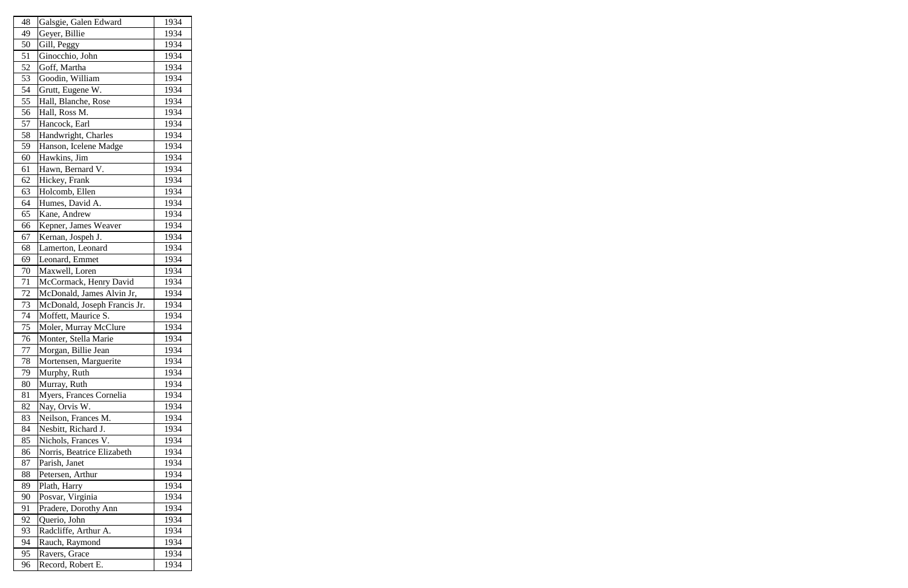| 48 | Galsgie, Galen Edward        | 1934 |
|----|------------------------------|------|
| 49 | Geyer, Billie                | 1934 |
| 50 | Gill, Peggy                  | 1934 |
| 51 | Ginocchio, John              | 1934 |
| 52 | Goff, Martha                 | 1934 |
| 53 | Goodin, William              | 1934 |
| 54 | Grutt, Eugene W.             | 1934 |
| 55 | Hall, Blanche, Rose          | 1934 |
| 56 | Hall, Ross M.                | 1934 |
| 57 | Hancock, Earl                | 1934 |
| 58 | Handwright, Charles          | 1934 |
| 59 | Hanson, Icelene Madge        | 1934 |
| 60 | Hawkins, Jim                 | 1934 |
| 61 | Hawn, Bernard V.             | 1934 |
| 62 | Hickey, Frank                | 1934 |
| 63 | Holcomb, Ellen               | 1934 |
| 64 | Humes, David A.              | 1934 |
| 65 | Kane, Andrew                 | 1934 |
| 66 | Kepner, James Weaver         | 1934 |
| 67 | Kernan, Jospeh J.            | 1934 |
| 68 | Lamerton, Leonard            | 1934 |
| 69 | Leonard, Emmet               | 1934 |
| 70 | Maxwell, Loren               | 1934 |
| 71 | McCormack, Henry David       | 1934 |
| 72 | McDonald, James Alvin Jr,    | 1934 |
| 73 | McDonald, Joseph Francis Jr. | 1934 |
| 74 | Moffett, Maurice S.          | 1934 |
| 75 | Moler, Murray McClure        | 1934 |
| 76 | Monter, Stella Marie         | 1934 |
| 77 | Morgan, Billie Jean          | 1934 |
| 78 | Mortensen, Marguerite        | 1934 |
| 79 | Murphy, Ruth                 | 1934 |
| 80 | Murray, Ruth                 | 1934 |
| 81 | Myers, Frances Cornelia      | 1934 |
| 82 | Nay, Orvis W.                | 1934 |
| 83 | Neilson, Frances M.          | 1934 |
| 84 | Nesbitt, Richard J.          | 1934 |
| 85 | Nichols, Frances V.          | 1934 |
| 86 | Norris, Beatrice Elizabeth   | 1934 |
| 87 | Parish, Janet                | 1934 |
| 88 | Petersen, Arthur             | 1934 |
| 89 | Plath, Harry                 | 1934 |
| 90 | Posvar, Virginia             | 1934 |
| 91 | Pradere, Dorothy Ann         | 1934 |
| 92 | Querio, John                 | 1934 |
| 93 | Radcliffe, Arthur A.         | 1934 |
| 94 | Rauch, Raymond               | 1934 |
| 95 | Ravers, Grace                | 1934 |
| 96 | Record, Robert E.            | 1934 |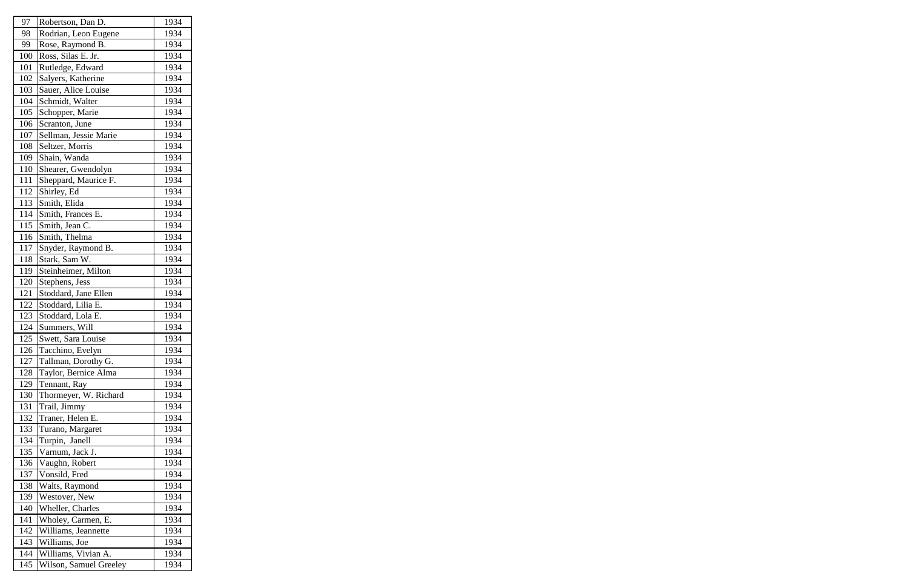| 97  | Robertson, Dan D.      | 1934 |
|-----|------------------------|------|
| 98  | Rodrian, Leon Eugene   | 1934 |
| 99  | Rose, Raymond B.       | 1934 |
| 100 | Ross, Silas E. Jr.     | 1934 |
| 101 | Rutledge, Edward       | 1934 |
| 102 | Salyers, Katherine     | 1934 |
| 103 | Sauer, Alice Louise    | 1934 |
| 104 | Schmidt, Walter        | 1934 |
| 105 | Schopper, Marie        | 1934 |
| 106 | Scranton, June         | 1934 |
| 107 | Sellman, Jessie Marie  | 1934 |
| 108 | Seltzer, Morris        | 1934 |
| 109 | Shain, Wanda           | 1934 |
| 110 | Shearer, Gwendolyn     | 1934 |
| 111 | Sheppard, Maurice F.   | 1934 |
| 112 | Shirley, Ed            | 1934 |
| 113 | Smith, Elida           | 1934 |
| 114 | Smith, Frances E.      | 1934 |
| 115 | Smith, Jean C.         | 1934 |
| 116 | Smith, Thelma          | 1934 |
| 117 | Snyder, Raymond B.     | 1934 |
| 118 | Stark, Sam W.          | 1934 |
| 119 | Steinheimer, Milton    | 1934 |
| 120 | Stephens, Jess         | 1934 |
| 121 | Stoddard, Jane Ellen   | 1934 |
| 122 | Stoddard, Lilia E.     | 1934 |
| 123 | Stoddard, Lola E.      | 1934 |
| 124 | Summers, Will          | 1934 |
| 125 | Swett, Sara Louise     | 1934 |
| 126 | Tacchino, Evelyn       | 1934 |
| 127 | Tallman, Dorothy G.    | 1934 |
| 128 | Taylor, Bernice Alma   | 1934 |
| 129 | Tennant, Ray           | 1934 |
| 130 | Thormeyer, W. Richard  | 1934 |
| 131 | Trail, Jimmy           | 1934 |
| 132 | Traner, Helen E.       | 1934 |
| 133 | Turano, Margaret       | 1934 |
| 134 | Turpin, Janell         | 1934 |
| 135 | Varnum, Jack J.        | 1934 |
| 136 | Vaughn, Robert         | 1934 |
| 137 | Vonsild, Fred          | 1934 |
| 138 | Walts, Raymond         | 1934 |
| 139 | Westover, New          | 1934 |
| 140 | Wheller, Charles       | 1934 |
| 141 | Wholey, Carmen, E.     | 1934 |
| 142 | Williams, Jeannette    | 1934 |
| 143 | Williams, Joe          | 1934 |
| 144 | Williams, Vivian A.    | 1934 |
| 145 | Wilson, Samuel Greeley | 1934 |